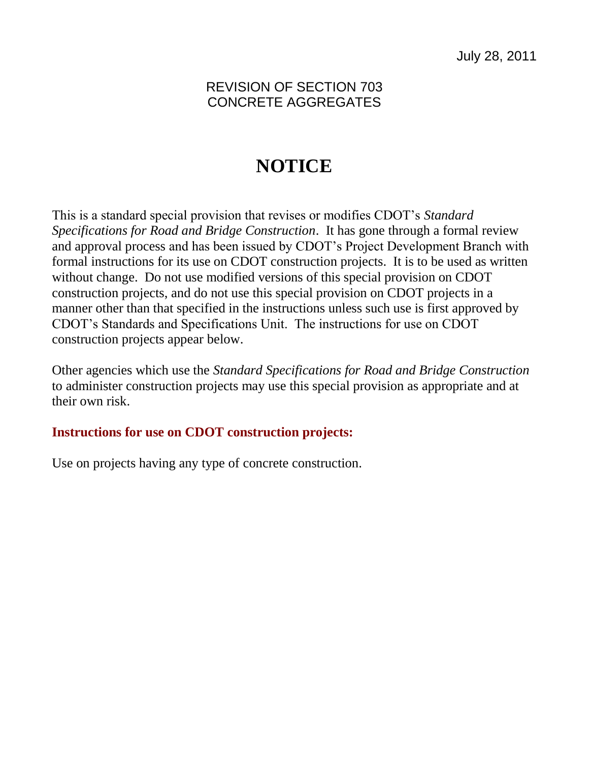## REVISION OF SECTION 703 CONCRETE AGGREGATES

## **NOTICE**

This is a standard special provision that revises or modifies CDOT's *Standard Specifications for Road and Bridge Construction*. It has gone through a formal review and approval process and has been issued by CDOT's Project Development Branch with formal instructions for its use on CDOT construction projects. It is to be used as written without change. Do not use modified versions of this special provision on CDOT construction projects, and do not use this special provision on CDOT projects in a manner other than that specified in the instructions unless such use is first approved by CDOT's Standards and Specifications Unit. The instructions for use on CDOT construction projects appear below.

Other agencies which use the *Standard Specifications for Road and Bridge Construction* to administer construction projects may use this special provision as appropriate and at their own risk.

## **Instructions for use on CDOT construction projects:**

Use on projects having any type of concrete construction.